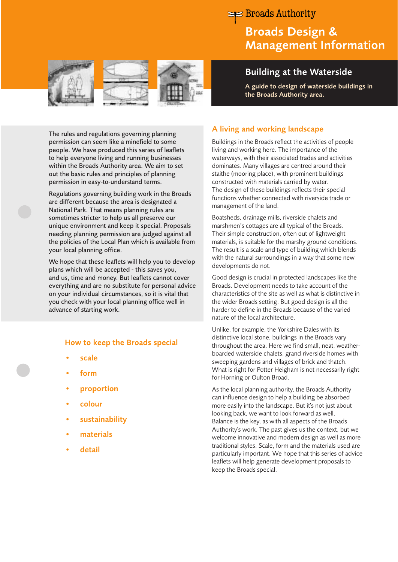# Broads Authority

# Broads Design & Management Information

Building at the Waterside

A guide to design of waterside buildings in







The rules and regulations governing planning permission can seem like a minefield to some people. We have produced this series of leaflets to help everyone living and running businesses within the Broads Authority area. We aim to set out the basic rules and principles of planning permission in easy-to-understand terms.

Regulations governing building work in the Broads are different because the area is designated a National Park. That means planning rules are sometimes stricter to help us all preserve our unique environment and keep it special. Proposals needing planning permission are judged against all the policies of the Local Plan which is available from your local planning office.

We hope that these leaflets will help you to develop plans which will be accepted - this saves you, and us, time and money. But leaflets cannot cover everything and are no substitute for personal advice on your individual circumstances, so it is vital that you check with your local planning office well in advance of starting work.

## How to keep the Broads special

- scale
- form
- **proportion**
- colour
- **sustainability**
- materials
- **detail**

## A living and working landscape

Buildings in the Broads reflect the activities of people living and working here. The importance of the waterways, with their associated trades and activities dominates. Many villages are centred around their staithe (mooring place), with prominent buildings constructed with materials carried by water. The design of these buildings reflects their special functions whether connected with riverside trade or management of the land.

the Broads Authority area.

Boatsheds, drainage mills, riverside chalets and marshmen's cottages are all typical of the Broads. Their simple construction, often out of lightweight materials, is suitable for the marshy ground conditions. The result is a scale and type of building which blends with the natural surroundings in a way that some new developments do not.

Good design is crucial in protected landscapes like the Broads. Development needs to take account of the characteristics of the site as well as what is distinctive in the wider Broads setting. But good design is all the harder to define in the Broads because of the varied nature of the local architecture.

Unlike, for example, the Yorkshire Dales with its distinctive local stone, buildings in the Broads vary throughout the area. Here we find small, neat, weatherboarded waterside chalets, grand riverside homes with sweeping gardens and villages of brick and thatch. What is right for Potter Heigham is not necessarily right for Horning or Oulton Broad.

As the local planning authority, the Broads Authority can influence design to help a building be absorbed more easily into the landscape. But it's not just about looking back, we want to look forward as well. Balance is the key, as with all aspects of the Broads Authority's work. The past gives us the context, but we welcome innovative and modern design as well as more traditional styles. Scale, form and the materials used are particularly important. We hope that this series of advice leaflets will help generate development proposals to keep the Broads special.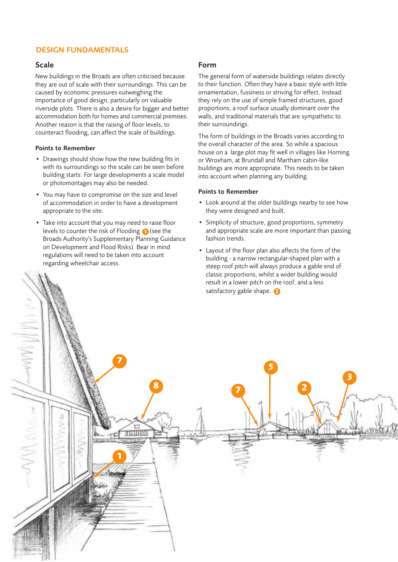# DESIGN FUNDAMENTALS

## Scale

 $\sim$  MWWW

-MARA

New buildings in the Broads are often criticised because they are out of scale with their surroundings. This can be caused by economic pressures outweighing the importance of good design, particularly on valuable riverside plots. There is also a desire for bigger and better accommodation both for homes and commercial premises. Another reason is that the raising of floor levels, to counteract flooding, can affect the scale of buildings.

#### Points to Remember

- Drawings should show how the new building fits in with its surroundings so the scale can be seen before building starts. For large developments a scale model or photomontages may also be needed.
- You may have to compromise on the size and level of accommodation in order to have a development appropriate to the site.
- Take into account that you may need to raise floor levels to counter the risk of Flooding **1** (see the Broads Authority's Supplementary Planning Guidance on Development and Flood Risks). Bear in mind regulations will need to be taken into account regarding wheelchair access.

**1** 

THUIL

**7** 

## Form

The general form of waterside buildings relates directly to their function. Often they have a basic style with little ornamentation, fussiness or striving for effect. Instead they rely on the use of simple framed structures, good proportions, a roof surface usually dominant over the walls, and traditional materials that are sympathetic to their surroundings.

The form of buildings in the Broads varies according to the overall character of the area. So while a spacious house on a large plot may fit well in villages like Horning or Wroxham, at Brundall and Martham cabin-like buildings are more appropriate. This needs to be taken into account when planning any building.

#### Points to Remember

**8 7** 

- Look around at the older buildings nearby to see how they were designed and built.
- Simplicity of structure, good proportions, symmetry and appropriate scale are more important than passing fashion trends.
- Layout of the floor plan also affects the form of the building - a narrow rectangular-shaped plan with a steep roof pitch will always produce a gable end of classic proportions, whilst a wider building would result in a lower pitch on the roof, and a less satisfactory gable shape. **2**

**5** 

**2** 

**3**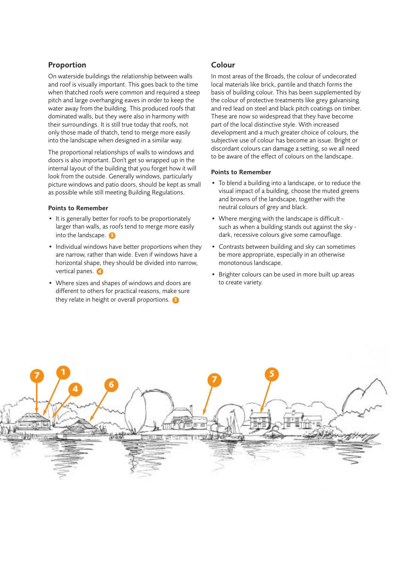# Proportion

On waterside buildings the relationship between walls and roof is visually important. This goes back to the time when thatched roofs were common and required a steep pitch and large overhanging eaves in order to keep the water away from the building. This produced roofs that dominated walls, but they were also in harmony with their surroundings. It is still true today that roofs, not only those made of thatch, tend to merge more easily into the landscape when designed in a similar way.

The proportional relationships of walls to windows and doors is also important. Don't get so wrapped up in the internal layout of the building that you forget how it will look from the outside. Generally windows, particularly picture windows and patio doors, should be kept as small as possible while still meeting Building Regulations.

#### Points to Remember

- It is generally better for roofs to be proportionately larger than walls, as roofs tend to merge more easily into the landscape. **3**
- Individual windows have better proportions when they are narrow, rather than wide. Even if windows have a horizontal shape, they should be divided into narrow, vertical panes. 4
- Where sizes and shapes of windows and doors are different to others for practical reasons, make sure they relate in height or overall proportions. **5**

## Colour

In most areas of the Broads, the colour of undecorated local materials like brick, pantile and thatch forms the basis of building colour. This has been supplemented by the colour of protective treatments like grey galvanising and red lead on steel and black pitch coatings on timber. These are now so widespread that they have become part of the local distinctive style. With increased development and a much greater choice of colours, the subjective use of colour has become an issue. Bright or discordant colours can damage a setting, so we all need to be aware of the effect of colours on the landscape.

#### Points to Remember

- To blend a building into a landscape, or to reduce the visual impact of a building, choose the muted greens and browns of the landscape, together with the neutral colours of grey and black.
- Where merging with the landscape is difficult such as when a building stands out against the sky dark, recessive colours give some camouflage.
- Contrasts between building and sky can sometimes be more appropriate, especially in an otherwise monotonous landscape.
- Brighter colours can be used in more built up areas to create variety.

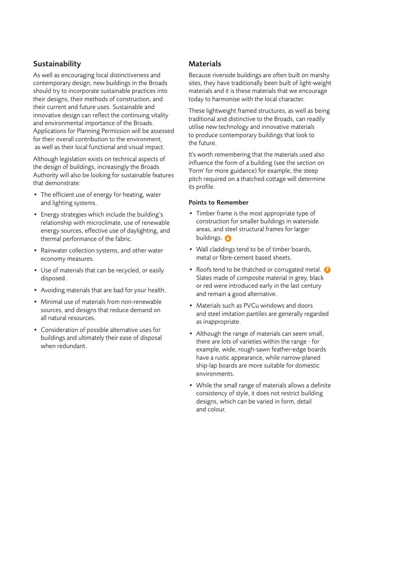## Sustainability

As well as encouraging local distinctiveness and contemporary design, new buildings in the Broads should try to incorporate sustainable practices into their designs, their methods of construction, and their current and future uses. Sustainable and innovative design can reflect the continuing vitality and environmental importance of the Broads. Applications for Planning Permission will be assessed for their overall contribution to the environment, as well as their local functional and visual impact.

Although legislation exists on technical aspects of the design of buildings, increasingly the Broads Authority will also be looking for sustainable features that demonstrate:

- The efficient use of energy for heating, water and lighting systems.
- Energy strategies which include the building's relationship with microclimate, use of renewable energy sources, effective use of daylighting, and thermal performance of the fabric.
- Rainwater collection systems, and other water economy measures.
- Use of materials that can be recycled, or easily disposed.
- Avoiding materials that are bad for your health.
- Minimal use of materials from non-renewable sources, and designs that reduce demand on all natural resources.
- Consideration of possible alternative uses for buildings and ultimately their ease of disposal when redundant.

# **Materials**

Because riverside buildings are often built on marshy sites, they have traditionally been built of light-weight materials and it is these materials that we encourage today to harmonise with the local character.

These lightweight framed structures, as well as being traditional and distinctive to the Broads, can readily utilise new technology and innovative materials to produce contemporary buildings that look to the future.

It's worth remembering that the materials used also influence the form of a building (see the section on 'Form' for more guidance) for example, the steep pitch required on a thatched cottage will determine its profile.

### Points to Remember

- Timber frame is the most appropriate type of construction for smaller buildings in waterside areas, and steel structural frames for larger buildings. **6**
- Wall claddings tend to be of timber boards, metal or fibre-cement based sheets.
- Roofs tend to be thatched or corrugated metal. **2** Slates made of composite material in grey, black or red were introduced early in the last century and remain a good alternative.
- Materials such as PVCu windows and doors and steel imitation pantiles are generally regarded as inappropriate.
- Although the range of materials can seem small, there are lots of varieties within the range - for example, wide, rough-sawn feather-edge boards have a rustic appearance, while narrow-planed ship-lap boards are more suitable for domestic environments.
- While the small range of materials allows a definite consistency of style, it does not restrict building designs, which can be varied in form, detail and colour.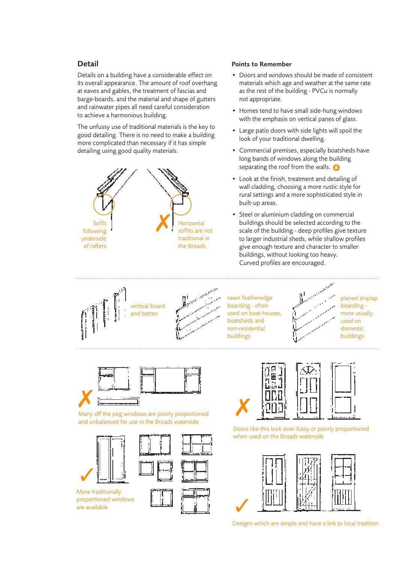# Detail

Details on a building have a considerable effect on its overall appearance. The amount of roof overhang at eaves and gables, the treatment of fascias and barge-boards, and the material and shape of gutters and rainwater pipes all need careful consideration to achieve a harmonious building.

The unfussy use of traditional materials is the key to good detailing. There is no need to make a building more complicated than necessary if it has simple detailing using good quality materials.



## Points to Remember

- Doors and windows should be made of consistent materials which age and weather at the same rate as the rest of the building - PVCu is normally not appropriate.
- Homes tend to have small side-hung windows with the emphasis on vertical panes of glass.
- Large patio doors with side lights will spoil the look of your traditional dwelling.
- Commercial premises, especially boatsheds have long bands of windows along the building separating the roof from the walls. **8**
- Look at the finish, treatment and detailing of wall cladding, choosing a more rustic style for rural settings and a more sophisticated style in built-up areas.
- Steel or aluminium cladding on commercial buildings should be selected according to the scale of the building - deep profiles give texture to larger industrial sheds, while shallow profiles give enough texture and character to smaller buildings, without looking too heavy. Curved profiles are encouraged.



sawn featheredge  $\mathbb{R}^n$   $\cdots$  planed shiplap used on boat-houses, boatsheds and  $\mathbb{R}^n$  and used on non-residential domestic buildings **buildings** buildings





Many off the peg windows are poorly proportioned and unbalanced for use in the Broads waterside



are available proportioned windows





Doors like this look over-fussy or poorly proportioned when used on the Broads waterside



Designs which are simple and have a link to local tradition